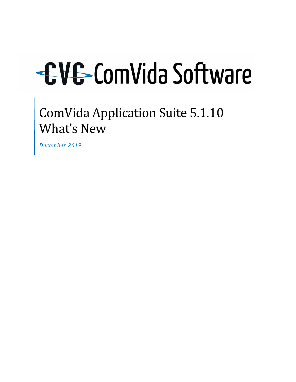ComVida Application Suite 5.1.10 What's New

*December 2019*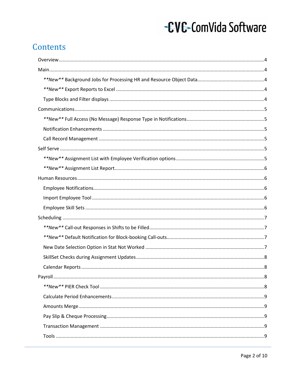### Contents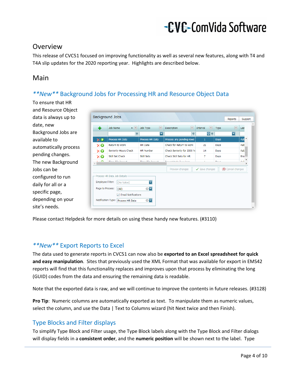### <span id="page-3-0"></span>Overview

This release of CVC51 focused on improving functionality as well as several new features, along with T4 and T4A slip updates for the 2020 reporting year. Highlights are described below.

### <span id="page-3-1"></span>Main

### <span id="page-3-2"></span>*\*\*New\*\** Background Jobs for Processing HR and Resource Object Data

To ensure that HR and Resource Object data is always up to date, new Background Jobs are available to automatically process pending changes. The new Background Jobs can be configured to run daily for all or a specific page, depending on your site's needs.

| ♣                                    | Job Name<br>$\blacktriangle$ $\blacktriangle$        | Job Type<br> 46       |                                                 |                 |                                  |  |
|--------------------------------------|------------------------------------------------------|-----------------------|-------------------------------------------------|-----------------|----------------------------------|--|
|                                      |                                                      |                       | 區<br><b>Description</b>                         | 46 <br>Interval | <b>AR</b><br>Type                |  |
|                                      | <b>P</b>                                             | ≂                     | ۴                                               | 몽오              | ≂                                |  |
| $\times$                             | Process HR Data                                      | Process HR Data       | Process any pending rows                        | $\mathbf{1}$    | <b>Days</b>                      |  |
| ×Θ                                   | Return to Work                                       | <b>HR</b> Date        | Check for Return to work                        | 21              | Days                             |  |
| ×Θ                                   | Seniority Hours Check                                | <b>HR Number</b>      | Check Seniority for 2000 hd                     | 14              | Days                             |  |
| ×Θ                                   | Skill Set Check                                      | Skill Sets            | Check Skill Sets for HR                         | 7               | Days                             |  |
| $\sim$ $\sim$                        | There are the transport                              | There I the Terms and | The company's state of an alleged and state and | $\mathcal{A}$   | Date of                          |  |
|                                      |                                                      |                       | Preview changes                                 | Save changes    | Cancel changes<br>$\circledcirc$ |  |
| Employee Filter:<br>Page to Process: | - Process HR Data Job Details<br>(No Value)<br>(A  ) | E<br>⊗⊡               |                                                 |                 |                                  |  |

Please contact Helpdesk for more details on using these handy new features. (#3110)

### <span id="page-3-3"></span>*\*\*New\*\** Export Reports to Excel

The data used to generate reports in CVC51 can now also be **exported to an Excel spreadsheet for quick and easy manipulation**. Sites that previously used the XML Format that was available for export in EMS42 reports will find that this functionality replaces and improves upon that process by eliminating the long (GUID) codes from the data and ensuring the remaining data is readable.

Note that the exported data is raw, and we will continue to improve the contents in future releases. (#3128)

**Pro Tip**: Numeric columns are automatically exported as text. To manipulate them as numeric values, select the column, and use the Data | Text to Columns wizard (hit Next twice and then Finish).

### <span id="page-3-4"></span>Type Blocks and Filter displays

To simplify Type Block and Filter usage, the Type Block labels along with the Type Block and Filter dialogs will display fields in a **consistent order**, and the **numeric position** will be shown next to the label. Type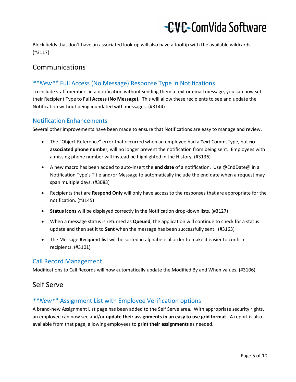Block fields that don't have an associated look-up will also have a tooltip with the available wildcards. (#3117)

### <span id="page-4-0"></span>Communications

### <span id="page-4-1"></span>*\*\*New\*\** Full Access (No Message) Response Type in Notifications

To include staff members in a notification without sending them a text or email message, you can now set their Recipient Type to **Full Access (No Message).** This will allow these recipients to see and update the Notification without being inundated with messages. (#3144)

#### <span id="page-4-2"></span>Notification Enhancements

Several other improvements have been made to ensure that Notifications are easy to manage and review.

- The "Object Reference" error that occurred when an employee had a **Text** CommsType, but **no associated phone number**, will no longer prevent the notification from being sent. Employees with a missing phone number will instead be highlighted in the History. (#3136)
- A new macro has been added to auto-insert the **end date** of a notification. Use @EndDate@ in a Notification Type's Title and/or Message to automatically include the end date when a request may span multiple days. (#3083)
- Recipients that are **Respond Only** will only have access to the responses that are appropriate for the notification. (#3145)
- **Status icons** will be displayed correctly in the Notification drop-down lists. (#3127)
- When a message status is returned as **Queued**, the application will continue to check for a status update and then set it to **Sent** when the message has been successfully sent. (#3163)
- The Message **Recipient list** will be sorted in alphabetical order to make it easier to confirm recipients. (#3101)

### <span id="page-4-3"></span>Call Record Management

Modifications to Call Records will now automatically update the Modified By and When values. (#3106)

### <span id="page-4-4"></span>Self Serve

### <span id="page-4-5"></span>*\*\*New\*\** Assignment List with Employee Verification options

A brand-new Assignment List page has been added to the Self Serve area. With appropriate security rights, an employee can now see and/or **update their assignments in an easy to use grid format**. A report is also available from that page, allowing employees to **print their assignments** as needed.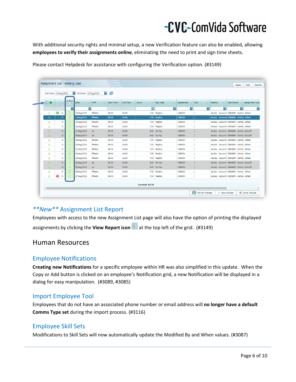With additional security rights and minimal setup, a new Verification feature can also be enabled, allowing **employees to verify their assignments online**, eliminating the need to print and sign time sheets.

| Start Date: 13/Aug/2019 |            |                          |                 | v.<br>End Date: 27/Aug/2019 | $\left  \mathbf{v} \right $  | 8          |          |                       |                                                              |                          |      |                                           |                          |                 |
|-------------------------|------------|--------------------------|-----------------|-----------------------------|------------------------------|------------|----------|-----------------------|--------------------------------------------------------------|--------------------------|------|-------------------------------------------|--------------------------|-----------------|
| 国中                      |            | $\overline{\mathcal{M}}$ | Verified        | <b>Date</b>                 | <b>M</b> Shift<br>$\sqrt{2}$ | Start Time | End Time | <b>Hours</b>          | $\left \frac{1}{2}\right $ Pay Code<br>$\left  \Psi \right $ | Department               | Unit | $\left \frac{1}{2}\right $ Position<br>國  | Cost Centre              | Assignment Type |
|                         |            |                          | F               | $\overline{\phantom{a}}$    |                              |            |          | ₽                     | $\overline{\phantom{a}}$                                     | $\overline{\phantom{a}}$ | u    | Б                                         | $\overline{\phantom{a}}$ |                 |
| G                       | $\bigcirc$ | $\circ$                  | ☑               | 13/Aug/2019                 | PRAdm                        | 08:00      | 16:00    | 7.50                  | RegPay                                                       | CARSON                   |      | AccAsc - Accounti CENADM - Centra .Sched  |                          |                 |
| 雇                       |            | $\circ$                  | ☑               | 14/Aug/2019                 | <b>PRAdm</b>                 | 08:00      | 16:00    | 7.50                  | RegPay                                                       | <b>CARSON</b>            |      | AccAsc - Accounti CENADM - Centra .Sched  |                          |                 |
| G                       |            | $\circ$                  | $\triangledown$ | 15/Aug/2019                 | PRAdm                        | 08:00      | 16:00    | 7.50                  | RegPay                                                       | <b>CARSON</b>            |      | AccAsc - Accounti CENADM - Centra .Sched  |                          |                 |
| ¢                       |            | $\circ$                  | $\triangledown$ | 16/Aug/2019                 | PRAdm                        | 08:00      | 16:00    |                       | 7.50 RegPay                                                  | <b>CARSON</b>            |      | AccAsc - Accounti CENADM - Centra .Sched  |                          |                 |
| 盾                       |            | $\circ$                  | ☑               | 17/Aug/2019                 | xx                           | 00:00      | 00:00    |                       | 0.00 No Pay                                                  | <b>CARSON</b>            |      | AccAsc - Accounti CENADM - Centra xDayOff |                          |                 |
| $\overline{a}$          |            | $\circ$                  | ☑               | 18/Aug/2019                 | xx                           | 00:00      | 00:00    |                       | 0.00 No Pay                                                  | <b>CARSON</b>            |      | AccAsc - Accounti CENADM - Centra xDayOff |                          |                 |
| ¢                       |            | $\circ$                  | $\triangledown$ | 19/Aug/2019                 | PRAdm                        | 08:00      | 16:00    |                       | 7.50 RegPay                                                  | <b>CARSON</b>            |      | AccAsc - Accounti CENADM - Centra .Sched  |                          |                 |
| ¢                       |            | $\circ$                  | $\triangledown$ | 20/Aug/2019                 | PRAdm                        | 08:00      | 16:00    |                       | 7.50 RegPay                                                  | <b>CARSON</b>            |      | AccAsc - Accounti CENADM - Centra .Sched  |                          |                 |
| ¢                       |            | $\circ$                  | ☑               | 21/Aug/2019                 | PRAdm                        | 08:00      | 16:00    |                       | 7.50 RegPay                                                  | <b>CARSON</b>            |      | AccAsc - Accounti CENADM - Centra .Sched  |                          |                 |
| ¢                       |            | $\circ$                  | ☑               | 22/Aug/2019                 | PRAdm                        | 08:00      | 16:00    | 7.50                  | RegPay                                                       | <b>CARSON</b>            |      | AccAsc - Accounti CENADM - Centra .Sched  |                          |                 |
| G                       |            | $\circ$                  | M               | 23/Aug/2019                 | PRAdm                        | 08:00      | 16:00    |                       | 7.50 RegPay                                                  | <b>CARSON</b>            |      | AccAsc - Accounti CENADM - Centra .Sched  |                          |                 |
| 面                       |            | $\circ$                  | Z               | 24/Aug/2019                 | XX                           | 00:00      | 00:00    |                       | 0.00 No Pay                                                  | <b>CARSON</b>            |      | AccAsc - Accounti CENADM - Centra xDayOff |                          |                 |
| G                       |            | $\circ$                  | $\triangledown$ | 25/Aug/2019                 | $\mathbf{X}$                 | 00:00      | 00:00    |                       | 0.00 No Pay                                                  | <b>CARSON</b>            |      | AccAsc - Accounti CENADM - Centra xDayOff |                          |                 |
| G                       |            | $\circ$                  | ☑               | 26/Aug/2019                 | <b>PRAdm</b>                 | 08:00      | 16:00    | 7.50                  | RegPay                                                       | <b>CARSON</b>            |      | AccAsc - Accounti CENADM - Centra .Sched  |                          |                 |
| ¢                       | $\bullet$  | $\circ$                  | Z               | 27/Aug/2019                 | PRAdm                        | 08:00      | 16:00    |                       | 7.50 RegPay                                                  | <b>CARSON</b>            |      | AccAsc - Accounti CENADM - Centra .Sched  |                          |                 |
|                         |            |                          |                 |                             |                              |            |          | <b>Counted: 82.50</b> |                                                              |                          |      |                                           |                          |                 |

Please contact Helpdesk for assistance with configuring the Verification option. (#3149)

### <span id="page-5-0"></span>*\*\*New\*\** Assignment List Report

Employees with access to the new Assignment List page will also have the option of printing the displayed assignments by clicking the **View Report icon** at the top left of the grid. (#3149)

### <span id="page-5-1"></span>Human Resources

### <span id="page-5-2"></span>Employee Notifications

**Creating new Notifications** for a specific employee within HR was also simplified in this update. When the Copy or Add button is clicked on an employee's Notification grid, a new Notification will be displayed in a dialog for easy manipulation. (#3089, #3085)

### <span id="page-5-3"></span>Import Employee Tool

Employees that do not have an associated phone number or email address will **no longer have a default Comms Type set** during the import process. (#3116)

### <span id="page-5-4"></span>Employee Skill Sets

Modifications to Skill Sets will now automatically update the Modified By and When values. (#3087)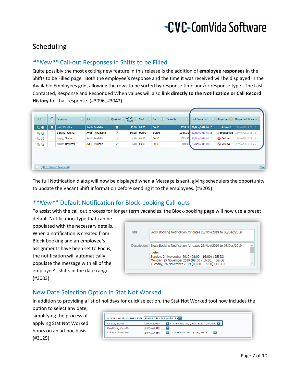### <span id="page-6-0"></span>Scheduling

### <span id="page-6-1"></span>*\*\*New\*\** Call-out Responses in Shifts to be Filled

Quite possibly the most exciting new feature in this release is the addition of **employee responses** in the Shifts to be Filled page. Both the employee's response and the time it was received will be displayed in the Available Employees grid, allowing the rows to be sorted by response time and/or response type. The Last Contacted, Response and Responded When values will also **link directly to the Notification or Call Record History** for that response. (#3096, #3042)

| 0              | ₽ | 國<br>Employee     | 四<br><b>Shift</b>        | Qualified               | Current $\frac{1}{1+x}$<br>Hours | $\vert \Psi \vert$<br>Start | 匣<br>End | Seniority<br><b>M</b> | 巫<br><b>Last Contacted</b> | Response            | Responded When ▲  |
|----------------|---|-------------------|--------------------------|-------------------------|----------------------------------|-----------------------------|----------|-----------------------|----------------------------|---------------------|-------------------|
| C <sub>o</sub> |   | Luck, Christine   | Avail - Available        | M                       | 40.00                            | 00:00                       | 00:00    | 2024.11               | 22/Nov/2019 08:16          | Accepted            | 22/Nov/2019 08:12 |
| $\mathbf{C}$   |   | Baksha, Amina     | <b>Avail - Available</b> | $\overline{\checkmark}$ | 16.00                            | 00:00                       | 00:00    |                       | 1847.32 22/Nov/2019 08:16  | <b>InfoSupplied</b> | 22/Nov/2019 08:12 |
| $\mathbf{C}$   |   | Vagay, Charles    | Avail - Available        | $\checkmark$            | 4.00                             | 00:00                       | 00:00    | 1081.25               | 22/Nov/2019 08:16          | <b>O</b> Declined   | 22/Nov/2019 08:18 |
| $\mathbf{C}$   |   | Ashley, Henrietta | Avail - Available        | $\overline{\checkmark}$ | 0.00                             | 00:00                       | 00:00    | 100.00                | 22/Nov/2019 08:16          | <b>O</b> Declined   | 22/Nov/2019 08:26 |

The full Notification dialog will now be displayed when a Message is sent, giving schedulers the opportunity to update the Vacant Shift information before sending it to the employees. (#3205)

### <span id="page-6-2"></span>*\*\*New\*\** Default Notification for Block-booking Call-outs

To assist with the call out process for longer term vacancies, the Block-booking page will now use a preset

default Notification Type that can be populated with the necessary details. When a notification is created from Block-booking and an employee's assignments have been set to Focus, the notification will automatically populate the message with all of the employee's shifts in the date range. (#3083)

| Title:       | Block Booking Notification for dates 23/Nov/2019 to 06/Dec/2019                                                 |  |
|--------------|-----------------------------------------------------------------------------------------------------------------|--|
| Description: | Block Booking Notification for dates 23/Nov/2019 to 06/Dec/2019                                                 |  |
|              | Shifts:<br>Sunday, 24 November 2019 (08:00 - 16:00) : DE-D3<br>Monday, 25 November 2019 (08:00 - 16:00) : DE-D3 |  |
|              | Tuesday, 26 November 2019 (08:00 - 16:00) : DE-D3                                                               |  |

### <span id="page-6-3"></span>New Date Selection Option in Stat Not Worked

In addition to providing a list of holidays for quick selection, the Stat Not Worked tool now includes the option to select any date,

simplifying the process of applying Stat Not Worked hours on an ad-hoc basis. (#3125)

| Stat Not Worked (PHP) Shift: StNtWk - Stat Not Worked Pa |                                                        |
|----------------------------------------------------------|--------------------------------------------------------|
| <b>Holiday Date:</b>                                     | - Christmas Day (Super Stat) - 25/Dec/2<br>25/Dec/2019 |
| Qualifying Cutoff:                                       | ×<br>25/Nov/2019                                       |
| Calculation From:                                        | Calculation To: 24/Dec/2019<br>-<br>25/Nov/2019        |
|                                                          |                                                        |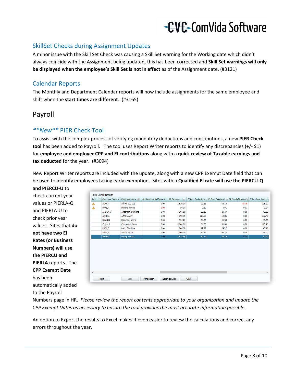### <span id="page-7-0"></span>SkillSet Checks during Assignment Updates

A minor issue with the Skill Set Check was causing a Skill Set warning for the Working date which didn't always coincide with the Assignment being updated, this has been corrected and **Skill Set warnings will only be displayed when the employee's Skill Set is not in effect** as of the Assignment date. (#3121)

### <span id="page-7-1"></span>Calendar Reports

The Monthly and Department Calendar reports will now include assignments for the same employee and shift when the **start times are different**. (#3165)

### <span id="page-7-2"></span>Payroll

### <span id="page-7-3"></span>*\*\*New\*\** PIER Check Tool

To assist with the complex process of verifying mandatory deductions and contributions, a new **PIER Check tool** has been added to Payroll. The tool uses Report Writer reports to identify any discrepancies (+/- \$1) for **employee and employer CPP and EI contributions** along with a **quick review of Taxable earnings and tax deducted** for the year. (#3094)

New Report Writer reports are included with the update, along with a new CPP Exempt Date field that can be used to identify employees taking early exemption. Sites with a **Qualified EI rate will use the PIERCU-Q and PIERCU-U** to

check current year values or PIERLA-Q and PIERLA-U to check prior year values. Sites that **do not have two EI Rates (or Business Numbers) will use the PIERCU and PIERLA** reports. The **CPP Exempt Date** has been automatically added to the Payroll

| Error Y | Employee Code ▲ | Employee Name      | <b>CPP Employer Difference</b> | 国<br>EI Earnings | EI Emp Deductions |        | EI Emp Calculated <sup>14</sup> EI Emp Difference <sup>14</sup> | <b>EI Employer Deduction</b> |
|---------|-----------------|--------------------|--------------------------------|------------------|-------------------|--------|-----------------------------------------------------------------|------------------------------|
| Δ       | ALFR, J         | Alfred, Joe-bob    | 0.00                           | 2,826.00         | 91.56             | 45.78  | $-45.78$                                                        | 128.19                       |
| Δ       | BAKS, A         | Baksha, Amina      | $-2.00$                        | 50.00            | 0.82              | 0.81   | $-0.01$                                                         | 1.14                         |
|         | ANDER.D         | Anderson, Darrlene | 0.00                           | 1,801.58         | 29.19             | 29.19  | 0.00                                                            | 40.86                        |
|         | ARTH.A          | Arthur, Amy        | 0.00                           | 7,398.05         | 119.85            | 119.85 | 0.00                                                            | 167.79                       |
|         | <b>B'LAN,N</b>  | Blanman, Nesna     | 0.00                           | 1,935.20         | 31.35             | 31.35  | 0.00                                                            | 43.89                        |
|         | CHUM,K          | Chummer, Karen     | 0.00                           | 5,000.00         | 81.00             | 81.00  | 0.00                                                            | 113.40                       |
|         | LUCK,C          | Luck, Christine    | 0.00                           | 1,806.58         | 29.27             | 29.27  | 0.00                                                            | 40.98                        |
|         | SMIT,B          | Smith, Bruce       | 0.00                           | 2,606.06         | 42.22             | 42.22  | 0.00                                                            | 59.10                        |
|         | <b>WONG,T</b>   | Wong, Teresa       | 0.00                           | 3,835.56         | 62.14             | 62.14  | 0.00                                                            | 87.00                        |
|         |                 |                    |                                |                  |                   |        |                                                                 |                              |
|         |                 |                    |                                |                  |                   |        |                                                                 |                              |

Numbers page in HR. *Please review the report contents appropriate to your organization and update the CPP Exempt Dates as necessary to ensure the tool provides the most accurate information possible.*

An option to Export the results to Excel makes it even easier to review the calculations and correct any errors throughout the year.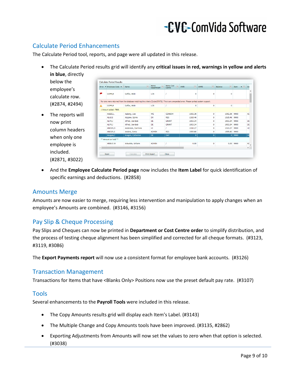### <span id="page-8-0"></span>Calculate Period Enhancements

The Calculate Period tool, reports, and page were all updated in this release.

- The Calculate Period results grid will identify any **critical issues in red, warnings in yellow and alerts in blue**, directly
	- below the employee's calculate row. (#2874, #2494)
- The reports will now print column headers when only one employee is included. (#2871, #3022)

| Error        | $\blacksquare$ Employee Code $\blacktriangle$ $\blacksquare$ Name | $\overline{M}$                                                                                                                           | Home<br>$ \mathcal{A} $<br>Department | Home Cost $\Box$<br>Centre | $ \Psi $<br><b>INPD</b> | $ \Psi $<br><b>AMPD</b> | $\boxed{AB}$<br>Balance | $\blacktriangle$ $\blacktriangle$<br>Item |
|--------------|-------------------------------------------------------------------|------------------------------------------------------------------------------------------------------------------------------------------|---------------------------------------|----------------------------|-------------------------|-------------------------|-------------------------|-------------------------------------------|
| υ            | GOFF.B                                                            | Goffar, Bobi                                                                                                                             | LCS                                   |                            | 0                       | $\Omega$                | $\Omega$                |                                           |
|              |                                                                   | No rows were returned from the database matching the criteria [Cycle:STATS]. This is an unexpected error. Please contact system support. |                                       |                            |                         |                         |                         |                                           |
| ◭            | GOFF.B                                                            | Goffar, Bobi                                                                                                                             | LCS                                   |                            | $\bullet$               | 0                       | $\bullet$               |                                           |
|              | 1 Amount added: 7806.                                             |                                                                                                                                          |                                       |                            |                         |                         |                         |                                           |
|              | AABJE,L                                                           | Aaberg, Lise                                                                                                                             | WE                                    | <b>CENADM</b>              | 1092.36                 | 0                       | 1092.36                 | 9900                                      |
|              | ALAJ,S                                                            | Alajane, Sylvie                                                                                                                          | <b>DU</b>                             | <b>RES</b>                 | 1315.46                 | $\bullet$               | 1315.46 9900            |                                           |
|              | ALFR.J                                                            | Alfred, Joe-bob                                                                                                                          | DE                                    | <b>GRANT</b>               | 1903.34                 | 0                       | 1903.34                 | 9900                                      |
|              | ALFR.J                                                            | Alfred, Joe-bob                                                                                                                          | DE                                    | <b>GRANT</b>               | 1903.34                 | 0                       | 1903.34                 | 9900                                      |
|              | ANDER, D                                                          | Anderson, Darriene                                                                                                                       | HI.                                   |                            | 1010.27                 | $\bullet$               | 1010.27                 | 9900                                      |
|              | ANDER.S                                                           | Anders, Sonia                                                                                                                            | <b>ADMIN</b>                          | <b>RES</b>                 | 1555.80                 | $\bullet$               | 1555.80                 | 9900                                      |
|              | Aragon, C                                                         | Aragon, Catherine                                                                                                                        | DE                                    | DAY                        | $\mathbf{0}$            | $\mathbf{0}$            |                         | 0   9900                                  |
|              | ** Amount on hold **                                              |                                                                                                                                          |                                       |                            |                         |                         |                         |                                           |
|              | ARBUC:W                                                           | Arbuckle, Willaim                                                                                                                        | <b>ADMIN</b>                          |                            | 0.00                    | $\bullet$               | 0.00                    | 9900                                      |
| $\leftarrow$ |                                                                   | <b>Service</b><br>$\sim$                                                                                                                 |                                       |                            |                         |                         |                         |                                           |

• And the **Employee Calculate Period page** now includes the **Item Label** for quick identification of specific earnings and deductions. (#2858)

#### <span id="page-8-1"></span>Amounts Merge

Amounts are now easier to merge, requiring less intervention and manipulation to apply changes when an employee's Amounts are combined. (#3146, #3156)

### <span id="page-8-2"></span>Pay Slip & Cheque Processing

Pay Slips and Cheques can now be printed in **Department or Cost Centre order** to simplify distribution, and the process of testing cheque alignment has been simplified and corrected for all cheque formats. (#3123, #3119, #3086)

The **Export Payments report** will now use a consistent format for employee bank accounts. (#3126)

#### <span id="page-8-3"></span>Transaction Management

<span id="page-8-4"></span>Transactions for Items that have <Blanks Only> Positions now use the preset default pay rate. (#3107)

#### Tools

Several enhancements to the **Payroll Tools** were included in this release.

- The Copy Amounts results grid will display each Item's Label. (#3143)
- The Multiple Change and Copy Amounts tools have been improved. (#3135, #2862)
- Exporting Adjustments from Amounts will now set the values to zero when that option is selected. (#3038)